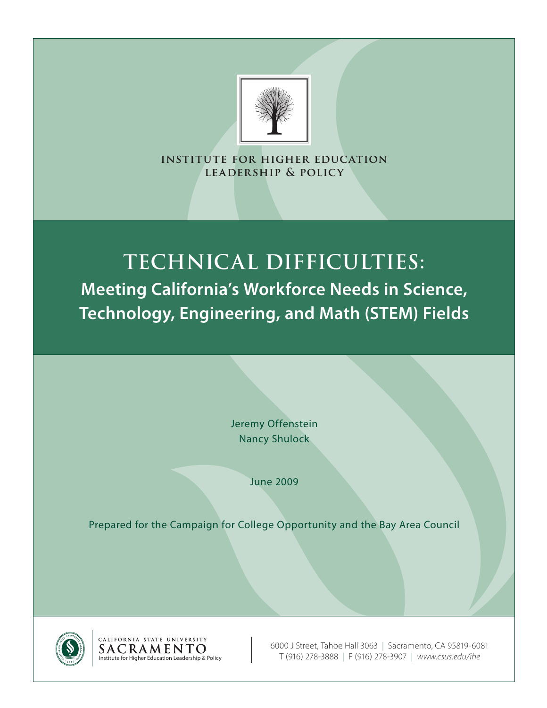

**institute for higher education leadership & policy**

# **Technical Difficulties: Meeting California's Workforce Needs in Science, Technology, Engineering, and Math (STEM) Fields**

Jeremy Offenstein Nancy Shulock

June 2009

Prepared for the Campaign for College Opportunity and the Bay Area Council



CALIFORNIA STATE UNIVERSITY

6000 J Street, Tahoe Hall 3063 | Sacramento, CA 95819-6081 Institute for Higher Education Leadership & Policy T (916) 278-3888 | F (916) 278-3907 | *www.csus.edu/ihe*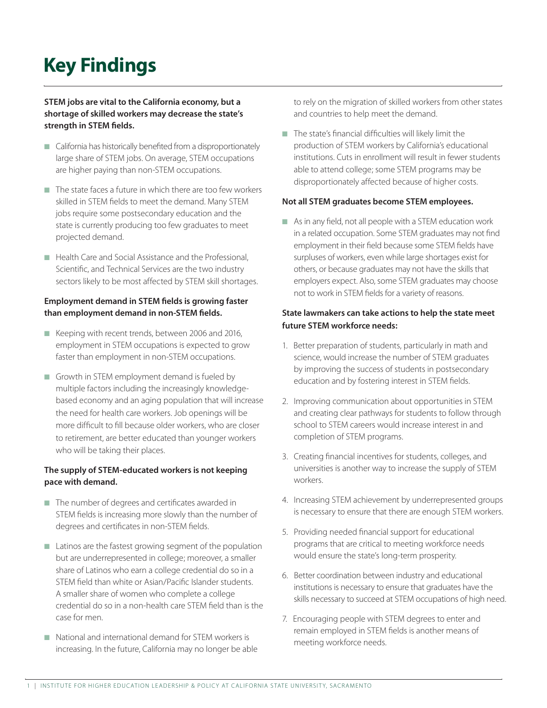# **Key Findings**

#### STEM jobs are vital to the California economy, but a shortage of skilled workers may decrease the state's strength in STEM fields.

- $\blacksquare$  California has historically benefited from a disproportionately large share of STEM jobs. On average, STEM occupations are higher paying than non-STEM occupations.
- $\blacksquare$  The state faces a future in which there are too few workers skilled in STEM fields to meet the demand. Many STEM jobs require some postsecondary education and the state is currently producing too few graduates to meet projected demand.
- Health Care and Social Assistance and the Professional, Scientific, and Technical Services are the two industry sectors likely to be most affected by STEM skill shortages.

#### Employment demand in STEM fields is growing faster than employment demand in non-STEM fields.

- $\blacksquare$  Keeping with recent trends, between 2006 and 2016, employment in STEM occupations is expected to grow faster than employment in non-STEM occupations.
- $\blacksquare$  Growth in STEM employment demand is fueled by multiple factors including the increasingly knowledgebased economy and an aging population that will increase the need for health care workers. Job openings will be more difficult to fill because older workers, who are closer to retirement, are better educated than younger workers who will be taking their places.

#### The supply of STEM-educated workers is not keeping pace with demand.

- $\blacksquare$  The number of degrees and certificates awarded in STEM fields is increasing more slowly than the number of degrees and certificates in non-STEM fields.
- $\blacksquare$  Latinos are the fastest growing segment of the population but are underrepresented in college; moreover, a smaller share of Latinos who earn a college credential do so in a STEM field than white or Asian/Pacific Islander students. A smaller share of women who complete a college credential do so in a non-health care STEM field than is the case for men.
- $\blacksquare$  National and international demand for STEM workers is increasing. In the future, California may no longer be able

to rely on the migration of skilled workers from other states and countries to help meet the demand.

 $\blacksquare$  The state's financial difficulties will likely limit the production of STEM workers by California's educational institutions. Cuts in enrollment will result in fewer students able to attend college; some STEM programs may be disproportionately affected because of higher costs.

#### Not all STEM graduates become STEM employees.

 $\blacksquare$  As in any field, not all people with a STEM education work in a related occupation. Some STEM graduates may not find employment in their field because some STEM fields have surpluses of workers, even while large shortages exist for others, or because graduates may not have the skills that employers expect. Also, some STEM graduates may choose not to work in STEM fields for a variety of reasons.

#### State lawmakers can take actions to help the state meet future STEM workforce needs:

- 1. Better preparation of students, particularly in math and science, would increase the number of STEM graduates by improving the success of students in postsecondary education and by fostering interest in STEM fields.
- 2. Improving communication about opportunities in STEM and creating clear pathways for students to follow through school to STEM careers would increase interest in and completion of STEM programs.
- 3. Creating financial incentives for students, colleges, and universities is another way to increase the supply of STEM workers.
- 4. Increasing STEM achievement by underrepresented groups is necessary to ensure that there are enough STEM workers.
- 5. Providing needed financial support for educational programs that are critical to meeting workforce needs would ensure the state's long-term prosperity.
- 6. Better coordination between industry and educational institutions is necessary to ensure that graduates have the skills necessary to succeed at STEM occupations of high need.
- 7. Encouraging people with STEM degrees to enter and remain employed in STEM fields is another means of meeting workforce needs.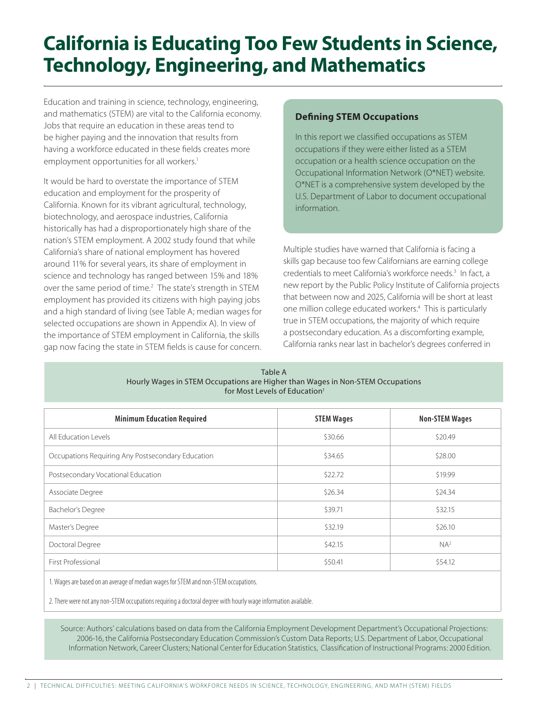Education and training in science, technology, engineering, and mathematics (STEM) are vital to the California economy. Jobs that require an education in these areas tend to be higher paying and the innovation that results from having a workforce educated in these fields creates more employment opportunities for all workers.<sup>1</sup>

It would be hard to overstate the importance of STEM education and employment for the prosperity of California. Known for its vibrant agricultural, technology, biotechnology, and aerospace industries, California historically has had a disproportionately high share of the nation's STEM employment. A 2002 study found that while California's share of national employment has hovered around 11% for several years, its share of employment in science and technology has ranged between 15% and 18% over the same period of time.<sup>2</sup> The state's strength in STEM employment has provided its citizens with high paying jobs and a high standard of living (see Table A; median wages for selected occupations are shown in Appendix A). In view of the importance of STEM employment in California, the skills gap now facing the state in STEM fields is cause for concern.

#### **Defining STEM Occupations**

In this report we classified occupations as STEM occupations if they were either listed as a STEM occupation or a health science occupation on the Occupational Information Network (O\*NET) website. O\*NET is a comprehensive system developed by the U.S. Department of Labor to document occupational information.

Multiple studies have warned that California is facing a skills gap because too few Californians are earning college credentials to meet California's workforce needs.<sup>3</sup> In fact, a new report by the Public Policy Institute of California projects that between now and 2025, California will be short at least one million college educated workers.<sup>4</sup> This is particularly true in STEM occupations, the majority of which require a postsecondary education. As a discomforting example, California ranks near last in bachelor's degrees conferred in

| Table A                                                                        |
|--------------------------------------------------------------------------------|
| Hourly Wages in STEM Occupations are Higher than Wages in Non-STEM Occupations |
| for Most Levels of Education <sup>1</sup>                                      |

| <b>Minimum Education Required</b>                 | <b>STEM Wages</b> | <b>Non-STEM Wages</b> |
|---------------------------------------------------|-------------------|-----------------------|
| All Education Levels                              | \$30.66           | \$20.49               |
| Occupations Requiring Any Postsecondary Education | \$34.65           | \$28.00               |
| Postsecondary Vocational Education                | \$22.72           | \$19.99               |
| Associate Degree                                  | \$26.34           | \$24.34               |
| Bachelor's Degree                                 | \$39.71           | \$32.15               |
| Master's Degree                                   | \$32.19           | \$26.10               |
| Doctoral Degree                                   | \$42.15           | NA <sup>2</sup>       |
| <b>First Professional</b>                         | \$50.41           | \$54.12               |

1. Wages are based on an average of median wages for STEM and non-STEM occupations.

2. There were not any non-STEM occupations requiring a doctoral degree with hourly wage information available.

Source: Authors' calculations based on data from the California Employment Development Department's Occupational Projections: 2006-16, the California Postsecondary Education Commission's Custom Data Reports; U.S. Department of Labor, Occupational Information Network, Career Clusters; National Center for Education Statistics, Classification of Instructional Programs: 2000 Edition.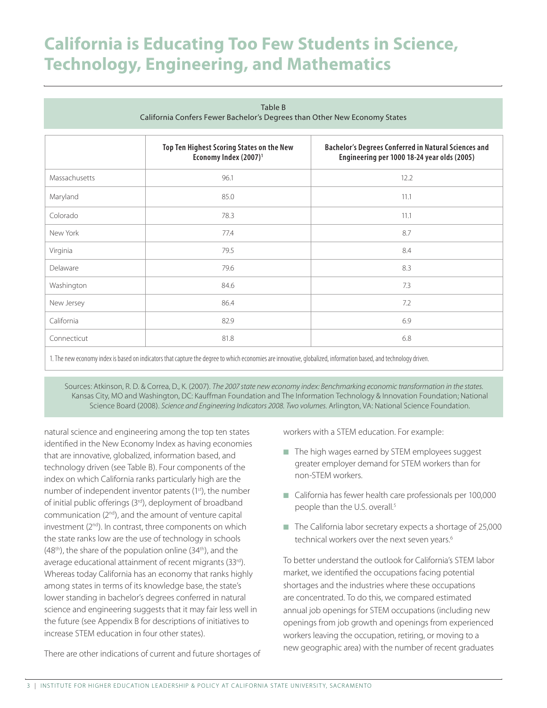| iuwic D<br>California Confers Fewer Bachelor's Degrees than Other New Economy States |                                                                                |                                                                                                            |  |
|--------------------------------------------------------------------------------------|--------------------------------------------------------------------------------|------------------------------------------------------------------------------------------------------------|--|
|                                                                                      | Top Ten Highest Scoring States on the New<br>Economy Index (2007) <sup>1</sup> | <b>Bachelor's Degrees Conferred in Natural Sciences and</b><br>Engineering per 1000 18-24 year olds (2005) |  |
| Massachusetts                                                                        | 96.1                                                                           | 12.2                                                                                                       |  |
| Maryland                                                                             | 85.0                                                                           | 11.1                                                                                                       |  |
| Colorado                                                                             | 78.3                                                                           | 11.1                                                                                                       |  |
| New York                                                                             | 77.4                                                                           | 8.7                                                                                                        |  |
| Virginia                                                                             | 79.5                                                                           | 8.4                                                                                                        |  |
| Delaware                                                                             | 79.6                                                                           | 8.3                                                                                                        |  |
| Washington                                                                           | 84.6                                                                           | 7.3                                                                                                        |  |
| New Jersey                                                                           | 86.4                                                                           | 7.2                                                                                                        |  |
| California                                                                           | 82.9                                                                           | 6.9                                                                                                        |  |
| Connecticut                                                                          | 81.8                                                                           | 6.8                                                                                                        |  |

Table B

1. The new economy index is based on indicators that capture the degree to which economies are innovative, globalized, information based, and technology driven.

Sources: Atkinson, R. D. & Correa, D., K. (2007). *The 2007 state new economy index: Benchmarking economic transformation in the states.*  Kansas City, MO and Washington, DC: Kauffman Foundation and The Information Technology & Innovation Foundation; National Science Board (2008). *Science and Engineering Indicators 2008. Two volumes.* Arlington, VA: National Science Foundation.

natural science and engineering among the top ten states identified in the New Economy Index as having economies that are innovative, globalized, information based, and technology driven (see Table B). Four components of the index on which California ranks particularly high are the number of independent inventor patents (1<sup>st</sup>), the number of initial public offerings (3rd), deployment of broadband communication (2nd), and the amount of venture capital investment (2<sup>nd</sup>). In contrast, three components on which the state ranks low are the use of technology in schools  $(48<sup>th</sup>)$ , the share of the population online  $(34<sup>th</sup>)$ , and the average educational attainment of recent migrants (33rd). Whereas today California has an economy that ranks highly among states in terms of its knowledge base, the state's lower standing in bachelor's degrees conferred in natural science and engineering suggests that it may fair less well in the future (see Appendix B for descriptions of initiatives to increase STEM education in four other states).

There are other indications of current and future shortages of

workers with a STEM education. For example:

- n The high wages earned by STEM employees suggest greater employer demand for STEM workers than for non-STEM workers.
- California has fewer health care professionals per 100,000 people than the U.S. overall.<sup>5</sup>
- $\blacksquare$  The California labor secretary expects a shortage of 25,000 technical workers over the next seven years.<sup>6</sup>

To better understand the outlook for California's STEM labor market, we identified the occupations facing potential shortages and the industries where these occupations are concentrated. To do this, we compared estimated annual job openings for STEM occupations (including new openings from job growth and openings from experienced workers leaving the occupation, retiring, or moving to a new geographic area) with the number of recent graduates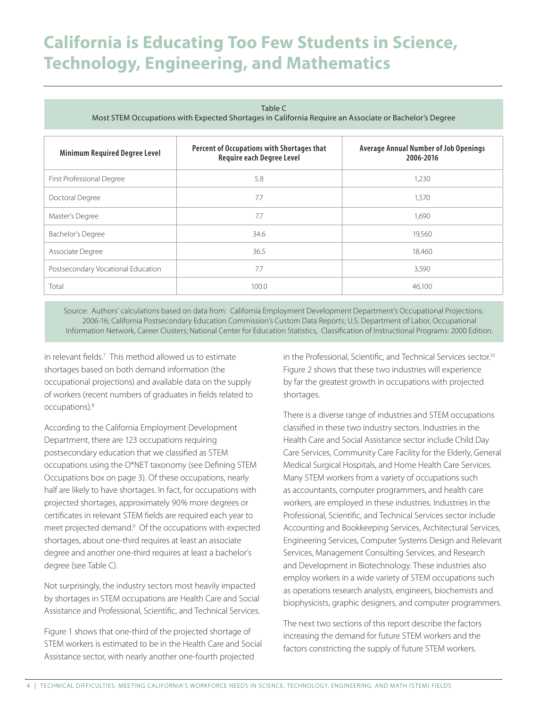Table C

Most STEM Occupations with Expected Shortages in California Require an Associate or Bachelor's Degree

| <b>Minimum Required Degree Level</b> | Percent of Occupations with Shortages that<br><b>Require each Degree Level</b> | <b>Average Annual Number of Job Openings</b><br>2006-2016 |  |
|--------------------------------------|--------------------------------------------------------------------------------|-----------------------------------------------------------|--|
| First Professional Degree            | 5.8                                                                            | 1,230                                                     |  |
| Doctoral Degree                      | 7.7                                                                            | 1.570                                                     |  |
| Master's Degree                      | 7.7                                                                            | 1,690                                                     |  |
| Bachelor's Degree                    | 34.6                                                                           | 19,560                                                    |  |
| Associate Degree                     | 36.5                                                                           | 18.460                                                    |  |
| Postsecondary Vocational Education   | 7.7                                                                            | 3,590                                                     |  |
| Total                                | 100.0                                                                          | 46.100                                                    |  |

Source: Authors' calculations based on data from: California Employment Development Department's Occupational Projections: 2006-16; California Postsecondary Education Commission's Custom Data Reports; U.S. Department of Labor, Occupational Information Network, Career Clusters; National Center for Education Statistics, Classification of Instructional Programs: 2000 Edition.

in relevant fields.7 This method allowed us to estimate shortages based on both demand information (the occupational projections) and available data on the supply of workers (recent numbers of graduates in fields related to occupations).8

According to the California Employment Development Department, there are 123 occupations requiring postsecondary education that we classified as STEM occupations using the O\*NET taxonomy (see Defining STEM Occupations box on page 3). Of these occupations, nearly half are likely to have shortages. In fact, for occupations with projected shortages, approximately 90% more degrees or certificates in relevant STEM fields are required each year to meet projected demand.<sup>9</sup> Of the occupations with expected shortages, about one-third requires at least an associate degree and another one-third requires at least a bachelor's degree (see Table C).

Not surprisingly, the industry sectors most heavily impacted by shortages in STEM occupations are Health Care and Social Assistance and Professional, Scientific, and Technical Services.

Figure 1 shows that one-third of the projected shortage of STEM workers is estimated to be in the Health Care and Social Assistance sector, with nearly another one-fourth projected

in the Professional, Scientific, and Technical Services sector.<sup>10</sup> Figure 2 shows that these two industries will experience by far the greatest growth in occupations with projected shortages.

There is a diverse range of industries and STEM occupations classified in these two industry sectors. Industries in the Health Care and Social Assistance sector include Child Day Care Services, Community Care Facility for the Elderly, General Medical Surgical Hospitals, and Home Health Care Services. Many STEM workers from a variety of occupations such as accountants, computer programmers, and health care workers, are employed in these industries. Industries in the Professional, Scientific, and Technical Services sector include Accounting and Bookkeeping Services, Architectural Services, Engineering Services, Computer Systems Design and Relevant Services, Management Consulting Services, and Research and Development in Biotechnology. These industries also employ workers in a wide variety of STEM occupations such as operations research analysts, engineers, biochemists and biophysicists, graphic designers, and computer programmers.

The next two sections of this report describe the factors increasing the demand for future STEM workers and the factors constricting the supply of future STEM workers.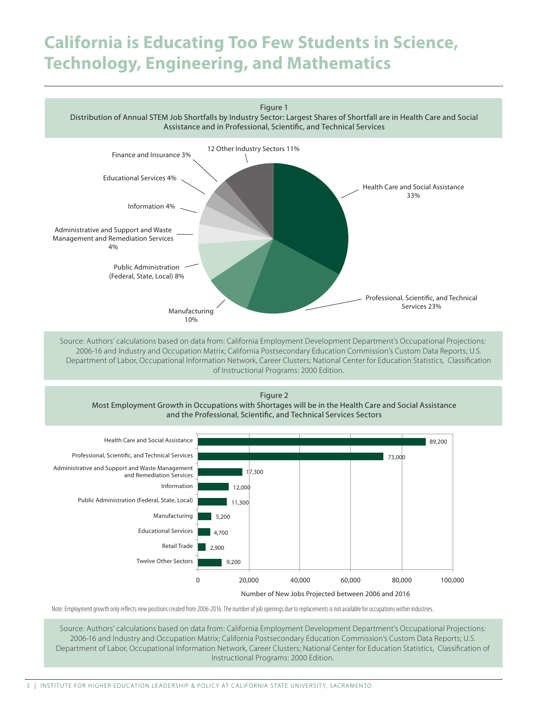

Distribution of Annual STEM Job Shortfalls by Industry Sector: Largest Shares of Shortfall are in Health Care and Social Assistance and in Professional, Scientific, and Technical Services



2006-16 and Industry and Occupation Matrix; California Postsecondary Education Commission's Custom Data Reports; U.S. Department of Labor, Occupational Information Network, Career Clusters; National Center for Education Statistics, Classification of Instructional Programs: 2000 Edition.







Number of New Jobs Projected between 2006 and 2016

Note: Employment growth only reflects new positions created from 2006-2016. The number of job openings due to replacements is not available for occupations within industries.

Source: Authors' calculations based on data from: California Employment Development Department's Occupational Projections: 2006-16 and Industry and Occupation Matrix; California Postsecondary Education Commission's Custom Data Reports; U.S. Department of Labor, Occupational Information Network, Career Clusters; National Center for Education Statistics, Classification of Instructional Programs: 2000 Edition.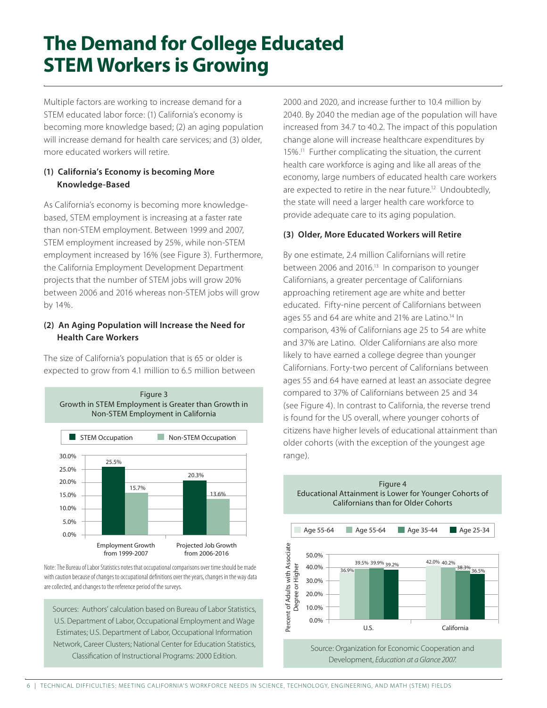# **The Demand for College Educated STEM Workers is Growing**

Multiple factors are working to increase demand for a STEM educated labor force: (1) California's economy is becoming more knowledge based; (2) an aging population will increase demand for health care services; and (3) older, more educated workers will retire.

#### (1) California's Economy is becoming More Knowledge-Based

As California's economy is becoming more knowledgebased, STEM employment is increasing at a faster rate than non-STEM employment. Between 1999 and 2007, STEM employment increased by 25%, while non-STEM employment increased by 16% (see Figure 3). Furthermore, the California Employment Development Department projects that the number of STEM jobs will grow 20% between 2006 and 2016 whereas non-STEM jobs will grow by 14%.

#### (2) An Aging Population will Increase the Need for Health Care Workers

The size of California's population that is 65 or older is expected to grow from 4.1 million to 6.5 million between



Note: The Bureau of Labor Statistics notes that occupational comparisons over time should be made with caution because of changes to occupational definitions over the years, changes in the way data are collected, and changes to the reference period of the surveys.

Sources: Authors' calculation based on Bureau of Labor Statistics, U.S. Department of Labor, Occupational Employment and Wage Estimates; U.S. Department of Labor, Occupational Information Network, Career Clusters; National Center for Education Statistics, Classification of Instructional Programs: 2000 Edition.

2000 and 2020, and increase further to 10.4 million by 2040. By 2040 the median age of the population will have increased from 34.7 to 40.2. The impact of this population change alone will increase healthcare expenditures by 15%.11 Further complicating the situation, the current health care workforce is aging and like all areas of the economy, large numbers of educated health care workers are expected to retire in the near future.<sup>12</sup> Undoubtedly, the state will need a larger health care workforce to provide adequate care to its aging population.

#### (3) Older, More Educated Workers will Retire

By one estimate, 2.4 million Californians will retire between 2006 and 2016.<sup>13</sup> In comparison to younger Californians, a greater percentage of Californians approaching retirement age are white and better educated. Fifty-nine percent of Californians between ages 55 and 64 are white and 21% are Latino.<sup>14</sup> In comparison, 43% of Californians age 25 to 54 are white and 37% are Latino. Older Californians are also more likely to have earned a college degree than younger Californians. Forty-two percent of Californians between ages 55 and 64 have earned at least an associate degree compared to 37% of Californians between 25 and 34 (see Figure 4). In contrast to California, the reverse trend is found for the US overall, where younger cohorts of citizens have higher levels of educational attainment than older cohorts (with the exception of the youngest age range).

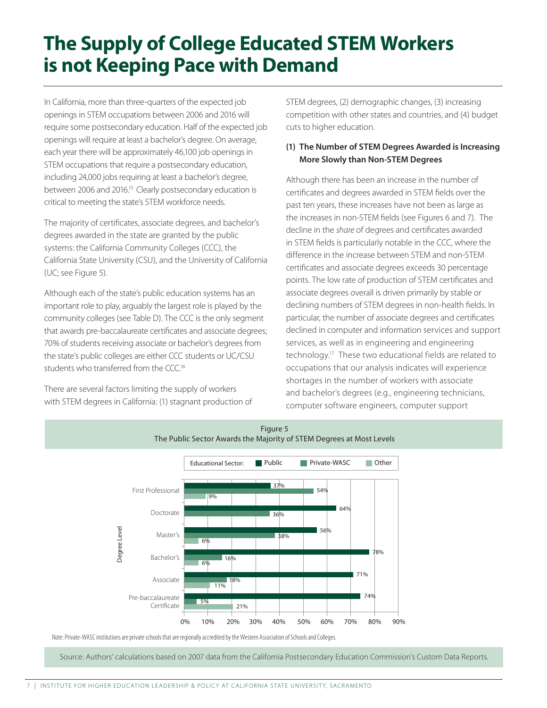In California, more than three-quarters of the expected job openings in STEM occupations between 2006 and 2016 will require some postsecondary education. Half of the expected job openings will require at least a bachelor's degree. On average, each year there will be approximately 46,100 job openings in STEM occupations that require a postsecondary education, including 24,000 jobs requiring at least a bachelor's degree, between 2006 and 2016.<sup>15</sup> Clearly postsecondary education is critical to meeting the state's STEM workforce needs.

The majority of certificates, associate degrees, and bachelor's degrees awarded in the state are granted by the public systems: the California Community Colleges (CCC), the California State University (CSU), and the University of California (UC; see Figure 5).

Although each of the state's public education systems has an important role to play, arguably the largest role is played by the community colleges (see Table D). The CCC is the only segment that awards pre-baccalaureate certificates and associate degrees; 70% of students receiving associate or bachelor's degrees from the state's public colleges are either CCC students or UC/CSU students who transferred from the CCC.<sup>16</sup>

There are several factors limiting the supply of workers with STEM degrees in California: (1) stagnant production of STEM degrees, (2) demographic changes, (3) increasing competition with other states and countries, and (4) budget cuts to higher education.

#### (1) The Number of STEM Degrees Awarded is Increasing More Slowly than Non-STEM Degrees

Although there has been an increase in the number of certificates and degrees awarded in STEM fields over the past ten years, these increases have not been as large as the increases in non-STEM fields (see Figures 6 and 7). The decline in the *share* of degrees and certificates awarded in STEM fields is particularly notable in the CCC, where the difference in the increase between STEM and non-STEM certificates and associate degrees exceeds 30 percentage points. The low rate of production of STEM certificates and associate degrees overall is driven primarily by stable or declining numbers of STEM degrees in non-health fields. In particular, the number of associate degrees and certificates declined in computer and information services and support services, as well as in engineering and engineering technology.<sup>17</sup> These two educational fields are related to occupations that our analysis indicates will experience shortages in the number of workers with associate and bachelor's degrees (e.g., engineering technicians, computer software engineers, computer support



Note: Private-WASC institutions are private schools that are regionally accredited by the Western Association of Schools and Colleges.

Source: Authors' calculations based on 2007 data from the California Postsecondary Education Commission's Custom Data Reports.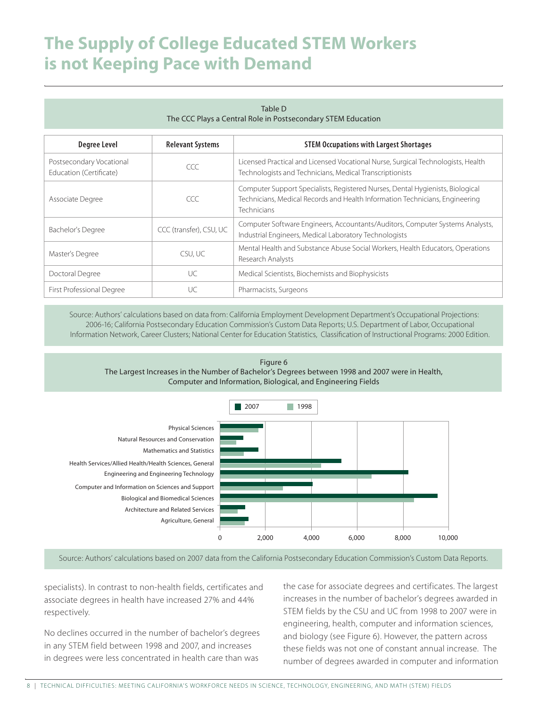| Table D<br>The CCC Plays a Central Role in Postsecondary STEM Education |                         |                                                                                                                                                                               |  |
|-------------------------------------------------------------------------|-------------------------|-------------------------------------------------------------------------------------------------------------------------------------------------------------------------------|--|
| <b>Degree Level</b>                                                     | <b>Relevant Systems</b> | <b>STEM Occupations with Largest Shortages</b>                                                                                                                                |  |
| Postsecondary Vocational<br>Education (Certificate)                     | CCC                     | Licensed Practical and Licensed Vocational Nurse, Surgical Technologists, Health<br>Technologists and Technicians, Medical Transcriptionists                                  |  |
| Associate Degree                                                        | CCC                     | Computer Support Specialists, Registered Nurses, Dental Hygienists, Biological<br>Technicians, Medical Records and Health Information Technicians, Engineering<br>Technicians |  |
| Bachelor's Degree                                                       | CCC (transfer), CSU, UC | Computer Software Engineers, Accountants/Auditors, Computer Systems Analysts,<br>Industrial Engineers, Medical Laboratory Technologists                                       |  |
| Master's Degree                                                         | CSU, UC                 | Mental Health and Substance Abuse Social Workers, Health Educators, Operations<br>Research Analysts                                                                           |  |
| Doctoral Degree                                                         | UC.                     | Medical Scientists, Biochemists and Biophysicists                                                                                                                             |  |
| First Professional Degree                                               | UC                      | Pharmacists, Surgeons                                                                                                                                                         |  |

Source: Authors' calculations based on data from: California Employment Development Department's Occupational Projections: 2006-16; California Postsecondary Education Commission's Custom Data Reports; U.S. Department of Labor, Occupational Information Network, Career Clusters; National Center for Education Statistics, Classification of Instructional Programs: 2000 Edition.





Source: Authors' calculations based on 2007 data from the California Postsecondary Education Commission's Custom Data Reports.

specialists). In contrast to non-health fields, certificates and associate degrees in health have increased 27% and 44% respectively.

No declines occurred in the number of bachelor's degrees in any STEM field between 1998 and 2007, and increases in degrees were less concentrated in health care than was

the case for associate degrees and certificates. The largest increases in the number of bachelor's degrees awarded in STEM fields by the CSU and UC from 1998 to 2007 were in engineering, health, computer and information sciences, and biology (see Figure 6). However, the pattern across these fields was not one of constant annual increase. The number of degrees awarded in computer and information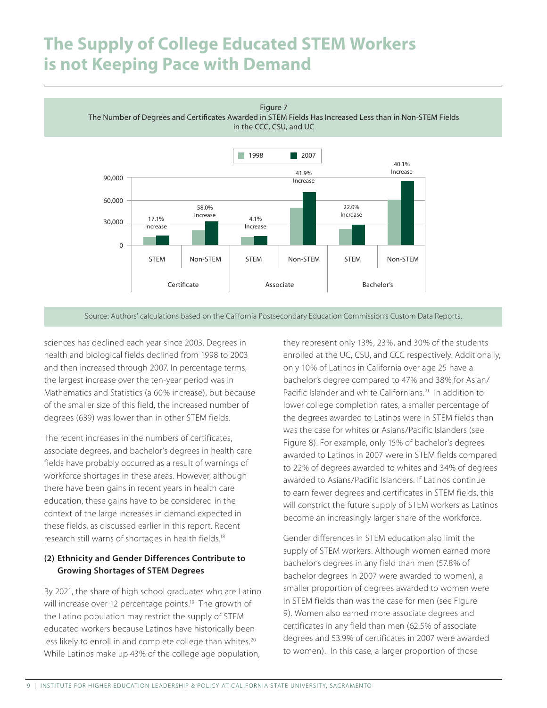Figure 7

The Number of Degrees and Certificates Awarded in STEM Fields Has Increased Less than in Non-STEM Fields

in the CCC, CSU, and UC



Source: Authors' calculations based on the California Postsecondary Education Commission's Custom Data Reports.

sciences has declined each year since 2003. Degrees in health and biological fields declined from 1998 to 2003 and then increased through 2007. In percentage terms, the largest increase over the ten-year period was in Mathematics and Statistics (a 60% increase), but because of the smaller size of this field, the increased number of degrees (639) was lower than in other STEM fields.

The recent increases in the numbers of certificates, associate degrees, and bachelor's degrees in health care fields have probably occurred as a result of warnings of workforce shortages in these areas. However, although there have been gains in recent years in health care education, these gains have to be considered in the context of the large increases in demand expected in these fields, as discussed earlier in this report. Recent research still warns of shortages in health fields.18

#### (2) Ethnicity and Gender Differences Contribute to Growing Shortages of STEM Degrees

By 2021, the share of high school graduates who are Latino will increase over 12 percentage points.<sup>19</sup> The growth of the Latino population may restrict the supply of STEM educated workers because Latinos have historically been less likely to enroll in and complete college than whites.<sup>20</sup> While Latinos make up 43% of the college age population,

they represent only 13%, 23%, and 30% of the students enrolled at the UC, CSU, and CCC respectively. Additionally, only 10% of Latinos in California over age 25 have a bachelor's degree compared to 47% and 38% for Asian/ Pacific Islander and white Californians.<sup>21</sup> In addition to lower college completion rates, a smaller percentage of the degrees awarded to Latinos were in STEM fields than was the case for whites or Asians/Pacific Islanders (see Figure 8). For example, only 15% of bachelor's degrees awarded to Latinos in 2007 were in STEM fields compared to 22% of degrees awarded to whites and 34% of degrees awarded to Asians/Pacific Islanders. If Latinos continue to earn fewer degrees and certificates in STEM fields, this will constrict the future supply of STEM workers as Latinos become an increasingly larger share of the workforce.

Gender differences in STEM education also limit the supply of STEM workers. Although women earned more bachelor's degrees in any field than men (57.8% of bachelor degrees in 2007 were awarded to women), a smaller proportion of degrees awarded to women were in STEM fields than was the case for men (see Figure 9). Women also earned more associate degrees and certificates in any field than men (62.5% of associate degrees and 53.9% of certificates in 2007 were awarded to women). In this case, a larger proportion of those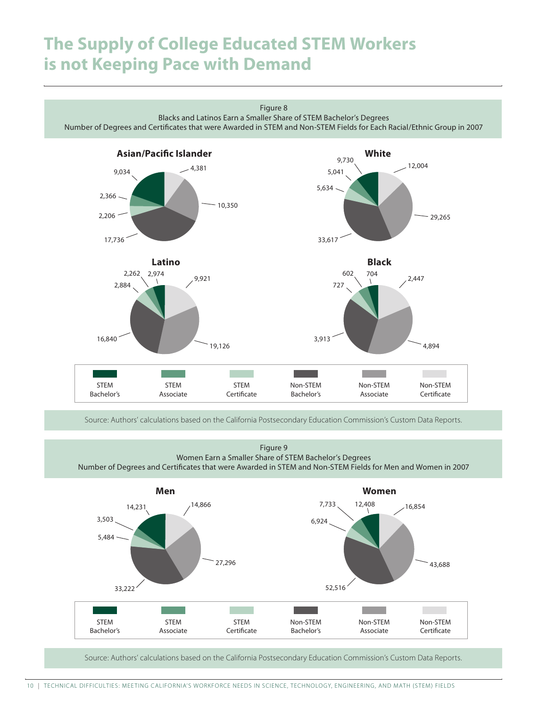

Source: Authors' calculations based on the California Postsecondary Education Commission's Custom Data Reports.

Figure 9 Women Earn a Smaller Share of STEM Bachelor's Degrees Number of Degrees and Certificates that were Awarded in STEM and Non-STEM Fields for Men and Women in 2007



Source: Authors' calculations based on the California Postsecondary Education Commission's Custom Data Reports.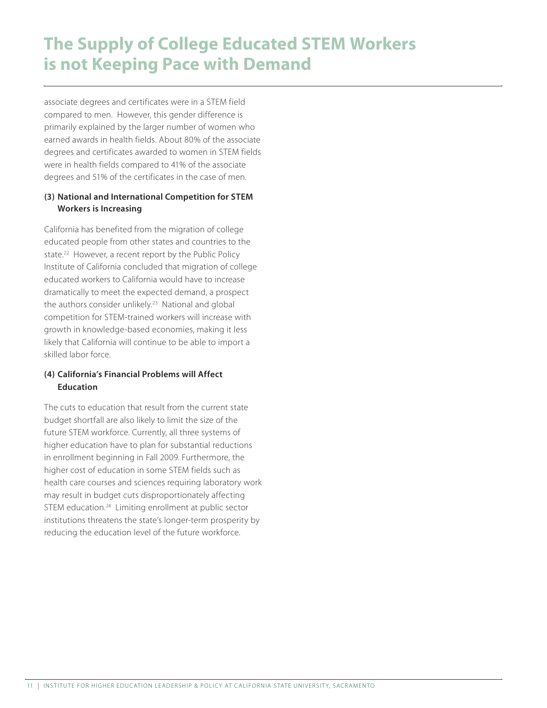associate degrees and certificates were in a STEM field compared to men. However, this gender difference is primarily explained by the larger number of women who earned awards in health fields. About 80% of the associate degrees and certificates awarded to women in STEM fields were in health fields compared to 41% of the associate degrees and 51% of the certificates in the case of men.

#### (3) National and International Competition for STEM Workers is Increasing

California has benefited from the migration of college educated people from other states and countries to the state.<sup>22</sup> However, a recent report by the Public Policy Institute of California concluded that migration of college educated workers to California would have to increase dramatically to meet the expected demand, a prospect the authors consider unlikely.<sup>23</sup> National and global competition for STEM-trained workers will increase with growth in knowledge-based economies, making it less likely that California will continue to be able to import a skilled labor force.

#### (4) California's Financial Problems will Affect Education

The cuts to education that result from the current state budget shortfall are also likely to limit the size of the future STEM workforce. Currently, all three systems of higher education have to plan for substantial reductions in enrollment beginning in Fall 2009. Furthermore, the higher cost of education in some STEM fields such as health care courses and sciences requiring laboratory work may result in budget cuts disproportionately affecting STEM education.<sup>24</sup> Limiting enrollment at public sector institutions threatens the state's longer-term prosperity by reducing the education level of the future workforce.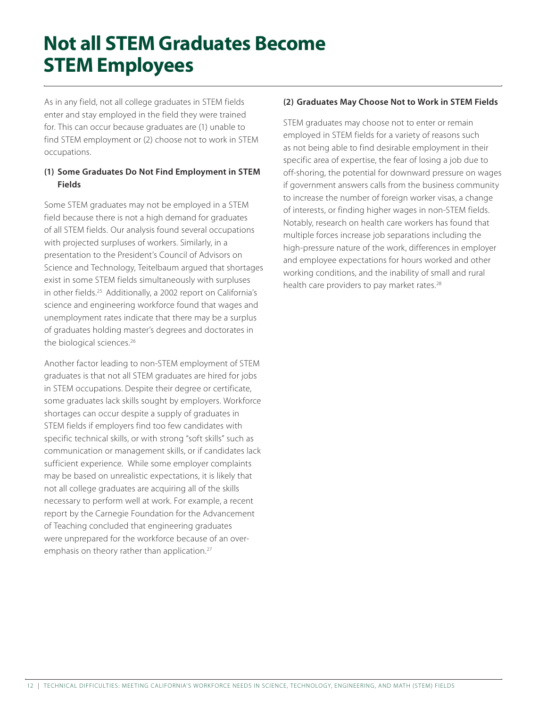# **Not all STEM Graduates Become STEM Employees**

As in any field, not all college graduates in STEM fields enter and stay employed in the field they were trained for. This can occur because graduates are (1) unable to find STEM employment or (2) choose not to work in STEM occupations.

#### (1) Some Graduates Do Not Find Employment in STEM Fields

Some STEM graduates may not be employed in a STEM field because there is not a high demand for graduates of all STEM fields. Our analysis found several occupations with projected surpluses of workers. Similarly, in a presentation to the President's Council of Advisors on Science and Technology, Teitelbaum argued that shortages exist in some STEM fields simultaneously with surpluses in other fields.<sup>25</sup> Additionally, a 2002 report on California's science and engineering workforce found that wages and unemployment rates indicate that there may be a surplus of graduates holding master's degrees and doctorates in the biological sciences.<sup>26</sup>

Another factor leading to non-STEM employment of STEM graduates is that not all STEM graduates are hired for jobs in STEM occupations. Despite their degree or certificate, some graduates lack skills sought by employers. Workforce shortages can occur despite a supply of graduates in STEM fields if employers find too few candidates with specific technical skills, or with strong "soft skills" such as communication or management skills, or if candidates lack sufficient experience. While some employer complaints may be based on unrealistic expectations, it is likely that not all college graduates are acquiring all of the skills necessary to perform well at work. For example, a recent report by the Carnegie Foundation for the Advancement of Teaching concluded that engineering graduates were unprepared for the workforce because of an overemphasis on theory rather than application.<sup>27</sup>

#### (2) Graduates May Choose Not to Work in STEM Fields

STEM graduates may choose not to enter or remain employed in STEM fields for a variety of reasons such as not being able to find desirable employment in their specific area of expertise, the fear of losing a job due to off-shoring, the potential for downward pressure on wages if government answers calls from the business community to increase the number of foreign worker visas, a change of interests, or finding higher wages in non-STEM fields. Notably, research on health care workers has found that multiple forces increase job separations including the high-pressure nature of the work, differences in employer and employee expectations for hours worked and other working conditions, and the inability of small and rural health care providers to pay market rates.<sup>28</sup>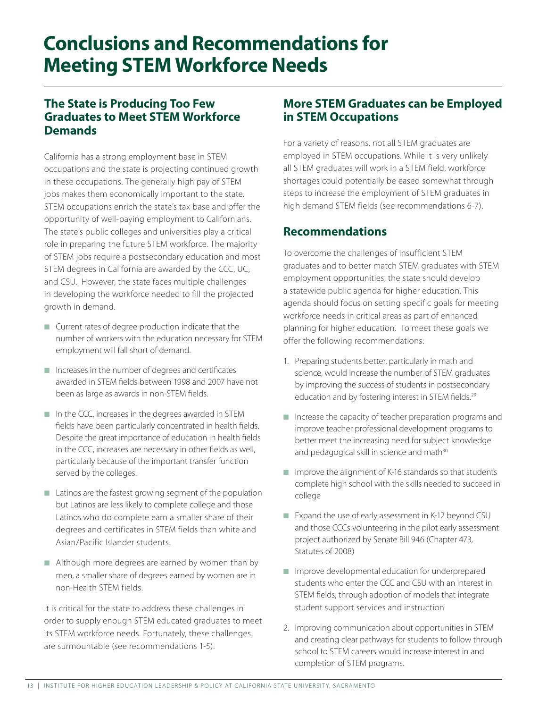## **Conclusions and Recommendations for Meeting STEM Workforce Needs**

### **The State is Producing Too Few Graduates to Meet STEM Workforce Demands**

California has a strong employment base in STEM occupations and the state is projecting continued growth in these occupations. The generally high pay of STEM jobs makes them economically important to the state. STEM occupations enrich the state's tax base and offer the opportunity of well-paying employment to Californians. The state's public colleges and universities play a critical role in preparing the future STEM workforce. The majority of STEM jobs require a postsecondary education and most STEM degrees in California are awarded by the CCC, UC, and CSU. However, the state faces multiple challenges in developing the workforce needed to fill the projected growth in demand.

- $\blacksquare$  Current rates of degree production indicate that the number of workers with the education necessary for STEM employment will fall short of demand.
- $\blacksquare$  Increases in the number of degrees and certificates awarded in STEM fields between 1998 and 2007 have not been as large as awards in non-STEM fields.
- $\blacksquare$  In the CCC, increases in the degrees awarded in STEM fields have been particularly concentrated in health fields. Despite the great importance of education in health fields in the CCC, increases are necessary in other fields as well, particularly because of the important transfer function served by the colleges.
- $\blacksquare$  Latinos are the fastest growing segment of the population but Latinos are less likely to complete college and those Latinos who do complete earn a smaller share of their degrees and certificates in STEM fields than white and Asian/Pacific Islander students.
- $\blacksquare$  Although more degrees are earned by women than by men, a smaller share of degrees earned by women are in non-Health STEM fields.

It is critical for the state to address these challenges in order to supply enough STEM educated graduates to meet its STEM workforce needs. Fortunately, these challenges are surmountable (see recommendations 1-5).

### **More STEM Graduates can be Employed in STEM Occupations**

For a variety of reasons, not all STEM graduates are employed in STEM occupations. While it is very unlikely all STEM graduates will work in a STEM field, workforce shortages could potentially be eased somewhat through steps to increase the employment of STEM graduates in high demand STEM fields (see recommendations 6-7).

### **Recommendations**

To overcome the challenges of insufficient STEM graduates and to better match STEM graduates with STEM employment opportunities, the state should develop a statewide public agenda for higher education. This agenda should focus on setting specific goals for meeting workforce needs in critical areas as part of enhanced planning for higher education. To meet these goals we offer the following recommendations:

- 1. Preparing students better, particularly in math and science, would increase the number of STEM graduates by improving the success of students in postsecondary education and by fostering interest in STEM fields.<sup>29</sup>
- $\blacksquare$  Increase the capacity of teacher preparation programs and improve teacher professional development programs to better meet the increasing need for subject knowledge and pedagogical skill in science and math<sup>30</sup>
- $\blacksquare$  Improve the alignment of K-16 standards so that students complete high school with the skills needed to succeed in college
- Expand the use of early assessment in K-12 beyond CSU and those CCCs volunteering in the pilot early assessment project authorized by Senate Bill 946 (Chapter 473, Statutes of 2008)
- $\blacksquare$  Improve developmental education for underprepared students who enter the CCC and CSU with an interest in STEM fields, through adoption of models that integrate student support services and instruction
- 2. Improving communication about opportunities in STEM and creating clear pathways for students to follow through school to STEM careers would increase interest in and completion of STEM programs.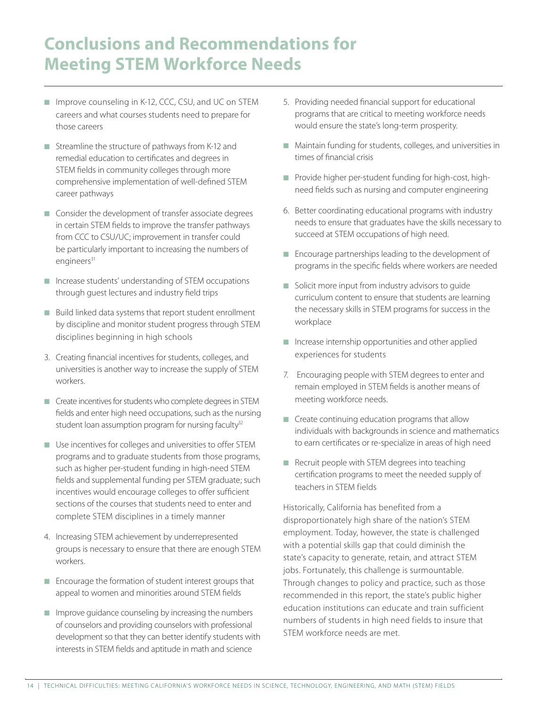### **Conclusions and Recommendations for Meeting STEM Workforce Needs**

- Improve counseling in K-12, CCC, CSU, and UC on STEM careers and what courses students need to prepare for those careers
- $\blacksquare$  Streamline the structure of pathways from K-12 and remedial education to certificates and degrees in STEM fields in community colleges through more comprehensive implementation of well-defined STEM career pathways
- $\blacksquare$  Consider the development of transfer associate degrees in certain STEM fields to improve the transfer pathways from CCC to CSU/UC; improvement in transfer could be particularly important to increasing the numbers of engineers<sup>31</sup>
- $\blacksquare$  Increase students' understanding of STEM occupations through guest lectures and industry field trips
- $\blacksquare$  Build linked data systems that report student enrollment by discipline and monitor student progress through STEM disciplines beginning in high schools
- 3. Creating financial incentives for students, colleges, and universities is another way to increase the supply of STEM workers.
- $\blacksquare$  Create incentives for students who complete degrees in STEM fields and enter high need occupations, such as the nursing student loan assumption program for nursing faculty $32$
- $\blacksquare$  Use incentives for colleges and universities to offer STEM programs and to graduate students from those programs, such as higher per-student funding in high-need STEM fields and supplemental funding per STEM graduate; such incentives would encourage colleges to offer sufficient sections of the courses that students need to enter and complete STEM disciplines in a timely manner
- 4. Increasing STEM achievement by underrepresented groups is necessary to ensure that there are enough STEM workers.
- $\blacksquare$  Encourage the formation of student interest groups that appeal to women and minorities around STEM fields
- $\blacksquare$  Improve guidance counseling by increasing the numbers of counselors and providing counselors with professional development so that they can better identify students with interests in STEM fields and aptitude in math and science
- 5. Providing needed financial support for educational programs that are critical to meeting workforce needs would ensure the state's long-term prosperity.
- $\blacksquare$  Maintain funding for students, colleges, and universities in times of financial crisis
- n Provide higher per-student funding for high-cost, highneed fields such as nursing and computer engineering
- 6. Better coordinating educational programs with industry needs to ensure that graduates have the skills necessary to succeed at STEM occupations of high need.
- $\blacksquare$  Encourage partnerships leading to the development of programs in the specific fields where workers are needed
- $\blacksquare$  Solicit more input from industry advisors to guide curriculum content to ensure that students are learning the necessary skills in STEM programs for success in the workplace
- $\blacksquare$  Increase internship opportunities and other applied experiences for students
- 7. Encouraging people with STEM degrees to enter and remain employed in STEM fields is another means of meeting workforce needs.
- $\blacksquare$  Create continuing education programs that allow individuals with backgrounds in science and mathematics to earn certificates or re-specialize in areas of high need
- $\blacksquare$  Recruit people with STEM degrees into teaching certification programs to meet the needed supply of teachers in STEM fields

Historically, California has benefited from a disproportionately high share of the nation's STEM employment. Today, however, the state is challenged with a potential skills gap that could diminish the state's capacity to generate, retain, and attract STEM jobs. Fortunately, this challenge is surmountable. Through changes to policy and practice, such as those recommended in this report, the state's public higher education institutions can educate and train sufficient numbers of students in high need fields to insure that STEM workforce needs are met.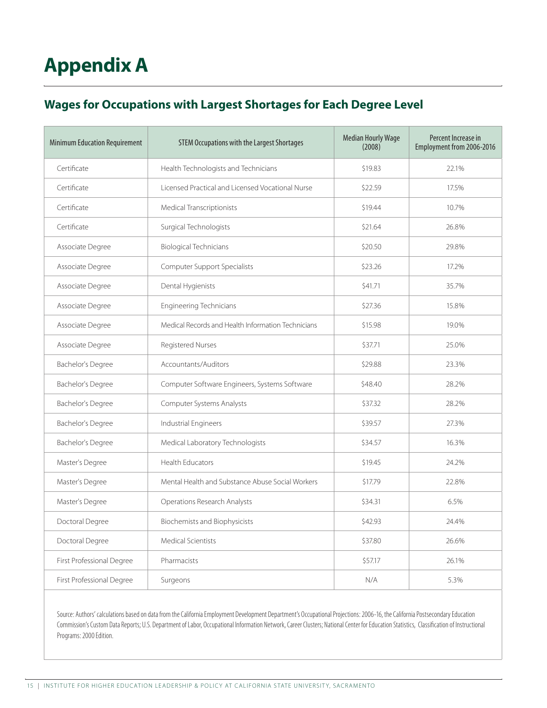# **Appendix A**

### **Wages for Occupations with Largest Shortages for Each Degree Level**

| <b>Minimum Education Requirement</b> | <b>STEM Occupations with the Largest Shortages</b> | <b>Median Hourly Wage</b><br>(2008) | Percent Increase in<br>Employment from 2006-2016 |
|--------------------------------------|----------------------------------------------------|-------------------------------------|--------------------------------------------------|
| Certificate                          | Health Technologists and Technicians               | \$19.83                             | 22.1%                                            |
| Certificate                          | Licensed Practical and Licensed Vocational Nurse   | \$22.59                             | 17.5%                                            |
| Certificate                          | Medical Transcriptionists                          | \$19.44                             | 10.7%                                            |
| Certificate                          | Surgical Technologists                             | \$21.64                             | 26.8%                                            |
| Associate Degree                     | <b>Biological Technicians</b>                      | \$20.50                             | 29.8%                                            |
| Associate Degree                     | Computer Support Specialists                       | \$23.26                             | 17.2%                                            |
| Associate Degree                     | Dental Hygienists                                  | \$41.71                             | 35.7%                                            |
| Associate Degree                     | <b>Engineering Technicians</b>                     | \$27.36                             | 15.8%                                            |
| Associate Degree                     | Medical Records and Health Information Technicians | \$15.98                             | 19.0%                                            |
| Associate Degree                     | Registered Nurses                                  | \$37.71                             | 25.0%                                            |
| <b>Bachelor's Degree</b>             | Accountants/Auditors                               | \$29.88                             | 23.3%                                            |
| <b>Bachelor's Degree</b>             | Computer Software Engineers, Systems Software      | \$48.40                             | 28.2%                                            |
| <b>Bachelor's Degree</b>             | Computer Systems Analysts                          | \$37.32                             | 28.2%                                            |
| Bachelor's Degree                    | Industrial Engineers                               | \$39.57                             | 27.3%                                            |
| <b>Bachelor's Degree</b>             | Medical Laboratory Technologists                   | \$34.57                             | 16.3%                                            |
| Master's Degree                      | <b>Health Educators</b>                            | \$19.45                             | 24.2%                                            |
| Master's Degree                      | Mental Health and Substance Abuse Social Workers   | \$17.79                             | 22.8%                                            |
| Master's Degree                      | Operations Research Analysts                       | \$34.31                             | 6.5%                                             |
| Doctoral Degree                      | <b>Biochemists and Biophysicists</b>               | \$42.93                             | 24.4%                                            |
| Doctoral Degree                      | <b>Medical Scientists</b>                          | \$37.80                             | 26.6%                                            |
| First Professional Degree            | Pharmacists                                        | \$57.17                             | 26.1%                                            |
| First Professional Degree            | Surgeons                                           | N/A                                 | 5.3%                                             |

Source: Authors' calculations based on data from the California Employment Development Department's Occupational Projections: 2006-16, the California Postsecondary Education Commission's Custom Data Reports; U.S. Department of Labor, Occupational Information Network, Career Clusters; National Center for Education Statistics, Classification of Instructional Programs: 2000 Edition.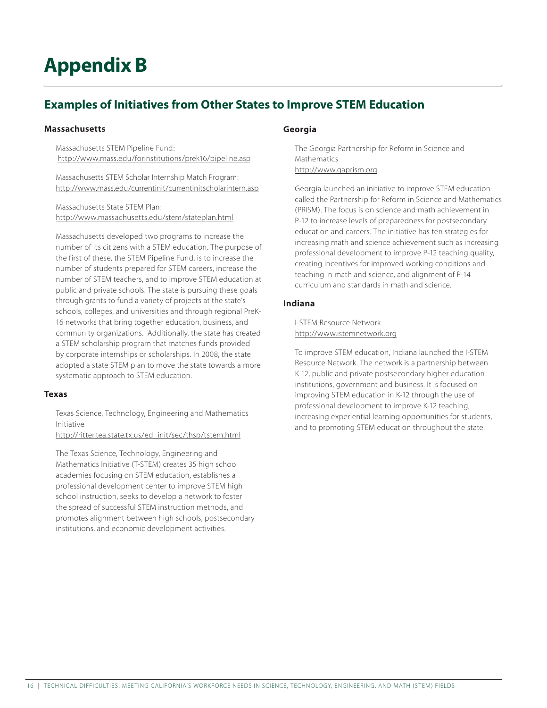# **Appendix B**

### **Examples of Initiatives from Other States to Improve STEM Education**

#### **Massachusetts**

 Massachusetts STEM Pipeline Fund: http://www.mass.edu/forinstitutions/prek16/pipeline.asp

 Massachusetts STEM Scholar Internship Match Program: http://www.mass.edu/currentinit/currentinitscholarintern.asp

 Massachusetts State STEM Plan: http://www.massachusetts.edu/stem/stateplan.html

 Massachusetts developed two programs to increase the number of its citizens with a STEM education. The purpose of the first of these, the STEM Pipeline Fund, is to increase the number of students prepared for STEM careers, increase the number of STEM teachers, and to improve STEM education at public and private schools. The state is pursuing these goals through grants to fund a variety of projects at the state's schools, colleges, and universities and through regional PreK-16 networks that bring together education, business, and community organizations. Additionally, the state has created a STEM scholarship program that matches funds provided by corporate internships or scholarships. In 2008, the state adopted a state STEM plan to move the state towards a more systematic approach to STEM education.

#### **Texas**

Texas Science, Technology, Engineering and Mathematics Initiative

http://ritter.tea.state.tx.us/ed\_init/sec/thsp/tstem.html

The Texas Science, Technology, Engineering and Mathematics Initiative (T-STEM) creates 35 high school academies focusing on STEM education, establishes a professional development center to improve STEM high school instruction, seeks to develop a network to foster the spread of successful STEM instruction methods, and promotes alignment between high schools, postsecondary institutions, and economic development activities.

#### **Georgia**

The Georgia Partnership for Reform in Science and Mathematics http://www.gaprism.org

 Georgia launched an initiative to improve STEM education called the Partnership for Reform in Science and Mathematics (PRISM). The focus is on science and math achievement in P-12 to increase levels of preparedness for postsecondary education and careers. The initiative has ten strategies for increasing math and science achievement such as increasing professional development to improve P-12 teaching quality, creating incentives for improved working conditions and teaching in math and science, and alignment of P-14 curriculum and standards in math and science.

#### **Indiana**

 I-STEM Resource Network http://www.istemnetwork.org

To improve STEM education, Indiana launched the I-STEM Resource Network. The network is a partnership between K-12, public and private postsecondary higher education institutions, government and business. It is focused on improving STEM education in K-12 through the use of professional development to improve K-12 teaching, increasing experiential learning opportunities for students, and to promoting STEM education throughout the state.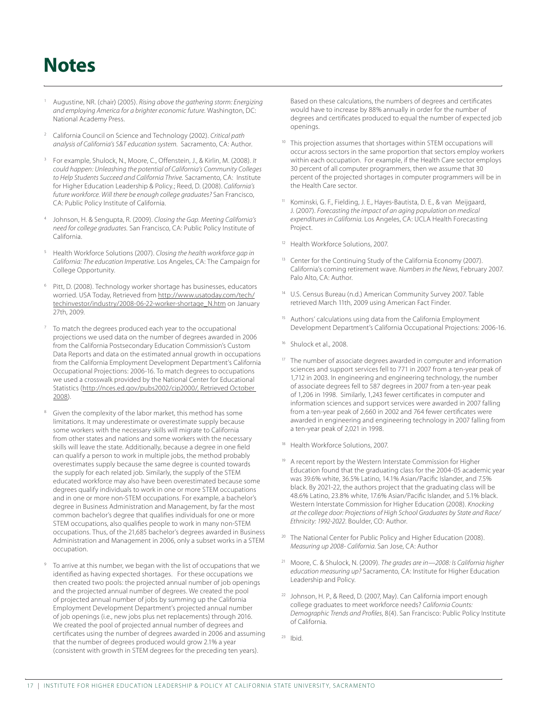## **Notes**

- <sup>1</sup> Augustine, NR. (chair) (2005). *Rising above the gathering storm: Energizing and employing America for a brighter economic future.* Washington, DC: National Academy Press.
- <sup>2</sup> California Council on Science and Technology (2002). *Critical path analysis of California's S&T education system.* Sacramento, CA: Author.
- <sup>3</sup> For example, Shulock, N., Moore, C., Offenstein, J., & Kirlin, M. (2008). *It could happen: Unleashing the potential of California's Community Colleges to Help Students Succeed and California Thrive.* Sacramento, CA: Institute for Higher Education Leadership & Policy.; Reed, D. (2008). *California's future workforce. Will there be enough college graduates?* San Francisco, CA: Public Policy Institute of California.
- <sup>4</sup> Johnson, H. & Sengupta, R. (2009). *Closing the Gap. Meeting California's need for college graduates.* San Francisco, CA: Public Policy Institute of California.
- <sup>5</sup> Health Workforce Solutions (2007). *Closing the health workforce gap in California: The education Imperative.* Los Angeles, CA: The Campaign for College Opportunity.
- 6 Pitt, D. (2008). Technology worker shortage has businesses, educators worried. USA Today, Retrieved from http://www.usatoday.com/tech/ techinvestor/industry/2008-06-22-worker-shortage\_N.htm on January 27th, 2009.
- To match the degrees produced each year to the occupational projections we used data on the number of degrees awarded in 2006 from the California Postsecondary Education Commission's Custom Data Reports and data on the estimated annual growth in occupations from the California Employment Development Department's California Occupational Projections: 2006-16. To match degrees to occupations we used a crosswalk provided by the National Center for Educational Statistics (http://nces.ed.gov/pubs2002/cip2000/, Retrieved October 2008).
- Given the complexity of the labor market, this method has some limitations. It may underestimate or overestimate supply because some workers with the necessary skills will migrate to California from other states and nations and some workers with the necessary skills will leave the state. Additionally, because a degree in one field can qualify a person to work in multiple jobs, the method probably overestimates supply because the same degree is counted towards the supply for each related job. Similarly, the supply of the STEM educated workforce may also have been overestimated because some degrees qualify individuals to work in one or more STEM occupations and in one or more non-STEM occupations. For example, a bachelor's degree in Business Administration and Management, by far the most common bachelor's degree that qualifies individuals for one or more STEM occupations, also qualifies people to work in many non-STEM occupations. Thus, of the 21,685 bachelor's degrees awarded in Business Administration and Management in 2006, only a subset works in a STEM occupation.
- To arrive at this number, we began with the list of occupations that we identified as having expected shortages. For these occupations we then created two pools: the projected annual number of job openings and the projected annual number of degrees. We created the pool of projected annual number of jobs by summing up the California Employment Development Department's projected annual number of job openings (i.e., new jobs plus net replacements) through 2016. We created the pool of projected annual number of degrees and certificates using the number of degrees awarded in 2006 and assuming that the number of degrees produced would grow 2.1% a year (consistent with growth in STEM degrees for the preceding ten years).

Based on these calculations, the numbers of degrees and certificates would have to increase by 88% annually in order for the number of degrees and certificates produced to equal the number of expected job openings.

- <sup>10</sup> This projection assumes that shortages within STEM occupations will occur across sectors in the same proportion that sectors employ workers within each occupation. For example, if the Health Care sector employs 30 percent of all computer programmers, then we assume that 30 percent of the projected shortages in computer programmers will be in the Health Care sector.
- Kominski, G. F., Fielding, J. E., Hayes-Bautista, D. E., & van Meijgaard, J. (2007). *Forecasting the impact of an aging population on medical expenditures in California*. Los Angeles, CA: UCLA Health Forecasting Project.
- <sup>12</sup> Health Workforce Solutions, 2007.
- Center for the Continuing Study of the California Economy (2007). California's coming retirement wave. *Numbers in the News*, February 2007. Palo Alto, CA: Author.
- 14 U.S. Census Bureau (n.d.) American Community Survey 2007. Table retrieved March 11th, 2009 using American Fact Finder.
- <sup>15</sup> Authors' calculations using data from the California Employment Development Department's California Occupational Projections: 2006-16.
- <sup>16</sup> Shulock et al., 2008.
- The number of associate degrees awarded in computer and information sciences and support services fell to 771 in 2007 from a ten-year peak of 1,712 in 2003. In engineering and engineering technology, the number of associate degrees fell to 587 degrees in 2007 from a ten-year peak of 1,206 in 1998. Similarly, 1,243 fewer certificates in computer and information sciences and support services were awarded in 2007 falling from a ten-year peak of 2,660 in 2002 and 764 fewer certificates were awarded in engineering and engineering technology in 2007 falling from a ten-year peak of 2,021 in 1998.
- <sup>18</sup> Health Workforce Solutions, 2007.
- A recent report by the Western Interstate Commission for Higher Education found that the graduating class for the 2004-05 academic year was 39.6% white, 36.5% Latino, 14.1% Asian/Pacific Islander, and 7.5% black. By 2021-22, the authors project that the graduating class will be 48.6% Latino, 23.8% white, 17.6% Asian/Pacific Islander, and 5.1% black. Western Interstate Commission for Higher Education (2008). *Knocking at the college door: Projections of High School Graduates by State and Race/ Ethnicity: 1992-2022*. Boulder, CO: Author.
- <sup>20</sup> The National Center for Public Policy and Higher Education (2008). *Measuring up 2008- California*. San Jose, CA: Author
- 21 Moore, C. & Shulock, N. (2009). *The grades are in—2008: Is California higher education measuring up?* Sacramento, CA: Institute for Higher Education Leadership and Policy.
- <sup>22</sup> Johnson, H. P., & Reed, D. (2007, May). Can California import enough college graduates to meet workforce needs? *California Counts: Demographic Trends and Profiles*, 8(4). San Francisco: Public Policy Institute of California.
- $23$  Ibid.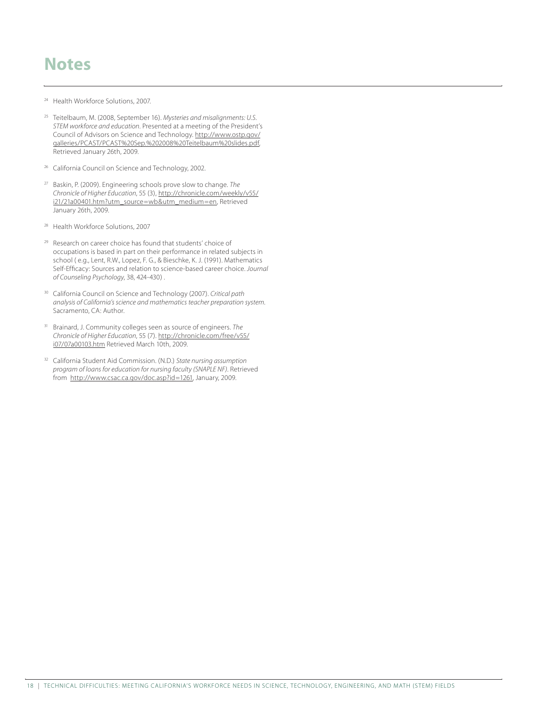### **Notes**

- <sup>24</sup> Health Workforce Solutions, 2007.
- <sup>25</sup> Teitelbaum, M. (2008, September 16). *Mysteries and misalignments: U.S. STEM workforce and education*. Presented at a meeting of the President's Council of Advisors on Science and Technology. http://www.ostp.gov/ galleries/PCAST/PCAST%20Sep.%202008%20Teitelbaum%20slides.pdf, Retrieved January 26th, 2009.
- <sup>26</sup> California Council on Science and Technology, 2002.
- <sup>27</sup> Baskin, P. (2009). Engineering schools prove slow to change. *The Chronicle of Higher Education*, 55 (3), http://chronicle.com/weekly/v55/ i21/21a00401.htm?utm\_source=wb&utm\_medium=en, Retrieved January 26th, 2009.
- Health Workforce Solutions, 2007
- <sup>29</sup> Research on career choice has found that students' choice of occupations is based in part on their performance in related subjects in school ( e.g., Lent, R.W., Lopez, F. G., & Bieschke, K. J. (1991). Mathematics Self-Efficacy: Sources and relation to science-based career choice. *Journal of Counseling Psychology*, 38, 424-430) .
- <sup>30</sup> California Council on Science and Technology (2007). *Critical path analysis of California's science and mathematics teacher preparation system*. Sacramento, CA: Author.
- <sup>31</sup> Brainard, J. Community colleges seen as source of engineers. *The Chronicle of Higher Education*, 55 (7). http://chronicle.com/free/v55/ i07/07a00103.htm Retrieved March 10th, 2009.
- <sup>32</sup> California Student Aid Commission. (N.D.) *State nursing assumption program of loans for education for nursing faculty (SNAPLE NF)*. Retrieved from http://www.csac.ca.gov/doc.asp?id=1261, January, 2009.